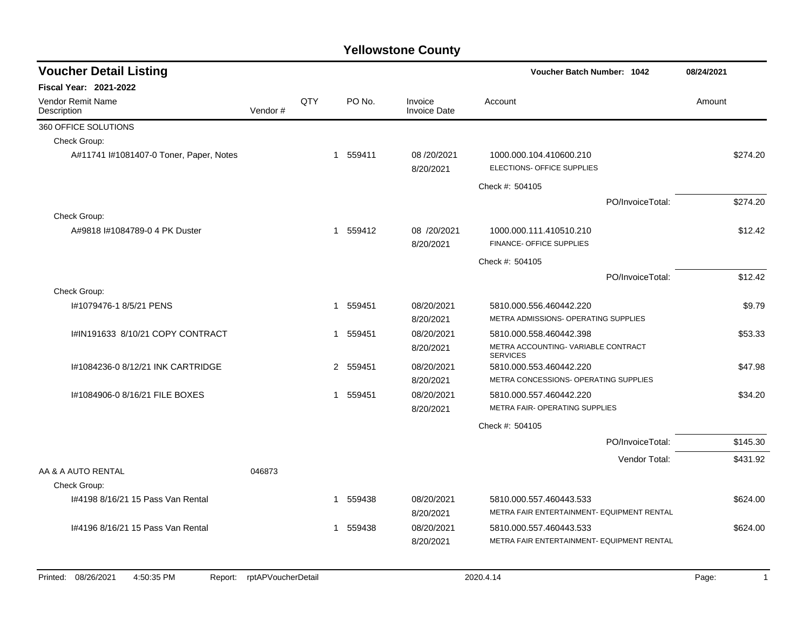| <b>Voucher Detail Listing</b>           |         |     |              |          |                                | Voucher Batch Number: 1042                             | 08/24/2021 |
|-----------------------------------------|---------|-----|--------------|----------|--------------------------------|--------------------------------------------------------|------------|
| <b>Fiscal Year: 2021-2022</b>           |         |     |              |          |                                |                                                        |            |
| Vendor Remit Name<br>Description        | Vendor# | QTY |              | PO No.   | Invoice<br><b>Invoice Date</b> | Account                                                | Amount     |
| 360 OFFICE SOLUTIONS                    |         |     |              |          |                                |                                                        |            |
| Check Group:                            |         |     |              |          |                                |                                                        |            |
| A#11741 I#1081407-0 Toner, Paper, Notes |         |     |              | 1 559411 | 08/20/2021<br>8/20/2021        | 1000.000.104.410600.210<br>ELECTIONS- OFFICE SUPPLIES  | \$274.20   |
|                                         |         |     |              |          |                                | Check #: 504105                                        |            |
|                                         |         |     |              |          |                                | PO/InvoiceTotal:                                       | \$274.20   |
| Check Group:                            |         |     |              |          |                                |                                                        |            |
| A#9818 #1084789-0 4 PK Duster           |         |     |              | 1 559412 | 08 /20/2021                    | 1000.000.111.410510.210                                | \$12.42    |
|                                         |         |     |              |          | 8/20/2021                      | <b>FINANCE- OFFICE SUPPLIES</b>                        |            |
|                                         |         |     |              |          |                                | Check #: 504105                                        |            |
|                                         |         |     |              |          |                                | PO/InvoiceTotal:                                       | \$12.42    |
| Check Group:                            |         |     |              |          |                                |                                                        |            |
| #1079476-1 8/5/21 PENS                  |         |     | $\mathbf{1}$ | 559451   | 08/20/2021                     | 5810.000.556.460442.220                                | \$9.79     |
|                                         |         |     |              |          | 8/20/2021                      | METRA ADMISSIONS- OPERATING SUPPLIES                   |            |
| I#IN191633 8/10/21 COPY CONTRACT        |         |     |              | 1 559451 | 08/20/2021                     | 5810.000.558.460442.398                                | \$53.33    |
|                                         |         |     |              |          | 8/20/2021                      | METRA ACCOUNTING- VARIABLE CONTRACT<br><b>SERVICES</b> |            |
| #1084236-0 8/12/21 INK CARTRIDGE        |         |     |              | 2 559451 | 08/20/2021                     | 5810.000.553.460442.220                                | \$47.98    |
|                                         |         |     |              |          | 8/20/2021                      | METRA CONCESSIONS- OPERATING SUPPLIES                  |            |
| I#1084906-0 8/16/21 FILE BOXES          |         |     |              | 1 559451 | 08/20/2021                     | 5810.000.557.460442.220                                | \$34.20    |
|                                         |         |     |              |          | 8/20/2021                      | METRA FAIR- OPERATING SUPPLIES                         |            |
|                                         |         |     |              |          |                                | Check #: 504105                                        |            |
|                                         |         |     |              |          |                                | PO/InvoiceTotal:                                       | \$145.30   |
|                                         |         |     |              |          |                                | Vendor Total:                                          | \$431.92   |
| AA & A AUTO RENTAL                      | 046873  |     |              |          |                                |                                                        |            |
| Check Group:                            |         |     |              |          |                                |                                                        |            |
| I#4198 8/16/21 15 Pass Van Rental       |         |     | -1           | 559438   | 08/20/2021                     | 5810.000.557.460443.533                                | \$624.00   |
|                                         |         |     |              |          | 8/20/2021                      | METRA FAIR ENTERTAINMENT- EQUIPMENT RENTAL             |            |
| 1#4196 8/16/21 15 Pass Van Rental       |         |     | 1            | 559438   | 08/20/2021                     | 5810.000.557.460443.533                                | \$624.00   |
|                                         |         |     |              |          | 8/20/2021                      | METRA FAIR ENTERTAINMENT- EQUIPMENT RENTAL             |            |
|                                         |         |     |              |          |                                |                                                        |            |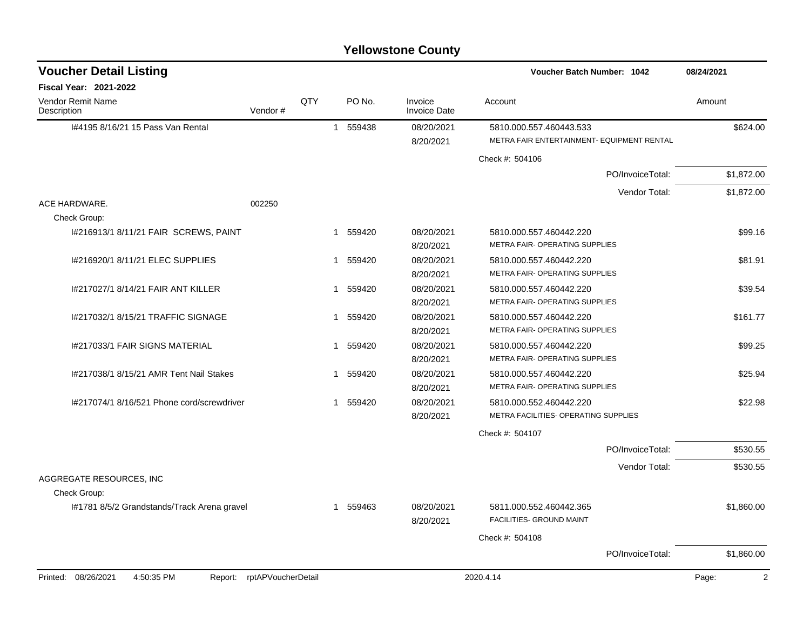| <b>Yellowstone County</b> |  |
|---------------------------|--|
|---------------------------|--|

| <b>Voucher Detail Listing</b>                |                    |     |                       |                                | <b>Voucher Batch Number: 1042</b>                                     | 08/24/2021              |
|----------------------------------------------|--------------------|-----|-----------------------|--------------------------------|-----------------------------------------------------------------------|-------------------------|
| Fiscal Year: 2021-2022                       |                    |     |                       |                                |                                                                       |                         |
| Vendor Remit Name<br>Description             | Vendor#            | QTY | PO No.                | Invoice<br><b>Invoice Date</b> | Account                                                               | Amount                  |
| I#4195 8/16/21 15 Pass Van Rental            |                    |     | 1 559438              | 08/20/2021<br>8/20/2021        | 5810.000.557.460443.533<br>METRA FAIR ENTERTAINMENT- EQUIPMENT RENTAL | \$624.00                |
|                                              |                    |     |                       |                                | Check #: 504106                                                       |                         |
|                                              |                    |     |                       |                                | PO/InvoiceTotal:                                                      | \$1,872.00              |
|                                              |                    |     |                       |                                | Vendor Total:                                                         | \$1,872.00              |
| ACE HARDWARE.<br>Check Group:                | 002250             |     |                       |                                |                                                                       |                         |
| I#216913/1 8/11/21 FAIR SCREWS, PAINT        |                    |     | 559420<br>1           | 08/20/2021<br>8/20/2021        | 5810.000.557.460442.220<br>METRA FAIR- OPERATING SUPPLIES             | \$99.16                 |
| I#216920/1 8/11/21 ELEC SUPPLIES             |                    |     | 1 559420              | 08/20/2021<br>8/20/2021        | 5810.000.557.460442.220<br>METRA FAIR- OPERATING SUPPLIES             | \$81.91                 |
| 1#217027/1 8/14/21 FAIR ANT KILLER           |                    |     | 1 559420              | 08/20/2021<br>8/20/2021        | 5810.000.557.460442.220<br>METRA FAIR- OPERATING SUPPLIES             | \$39.54                 |
| 1#217032/1 8/15/21 TRAFFIC SIGNAGE           |                    |     | 1 559420              | 08/20/2021<br>8/20/2021        | 5810.000.557.460442.220<br>METRA FAIR- OPERATING SUPPLIES             | \$161.77                |
| 1#217033/1 FAIR SIGNS MATERIAL               |                    |     | 1 559420              | 08/20/2021<br>8/20/2021        | 5810.000.557.460442.220<br>METRA FAIR- OPERATING SUPPLIES             | \$99.25                 |
| I#217038/1 8/15/21 AMR Tent Nail Stakes      |                    |     | 559420<br>$\mathbf 1$ | 08/20/2021<br>8/20/2021        | 5810.000.557.460442.220<br>METRA FAIR- OPERATING SUPPLIES             | \$25.94                 |
| I#217074/1 8/16/521 Phone cord/screwdriver   |                    |     | 559420<br>$\mathbf 1$ | 08/20/2021<br>8/20/2021        | 5810.000.552.460442.220<br>METRA FACILITIES- OPERATING SUPPLIES       | \$22.98                 |
|                                              |                    |     |                       |                                | Check #: 504107                                                       |                         |
|                                              |                    |     |                       |                                | PO/InvoiceTotal:                                                      | \$530.55                |
|                                              |                    |     |                       |                                | Vendor Total:                                                         | \$530.55                |
| AGGREGATE RESOURCES. INC<br>Check Group:     |                    |     |                       |                                |                                                                       |                         |
| 1#1781 8/5/2 Grandstands/Track Arena gravel  |                    |     | 1 559463              | 08/20/2021<br>8/20/2021        | 5811.000.552.460442.365<br>FACILITIES- GROUND MAINT                   | \$1,860.00              |
|                                              |                    |     |                       |                                | Check #: 504108                                                       |                         |
|                                              |                    |     |                       |                                | PO/InvoiceTotal:                                                      | \$1,860.00              |
| Printed: 08/26/2021<br>4:50:35 PM<br>Report: | rptAPVoucherDetail |     |                       |                                | 2020.4.14                                                             | $\overline{2}$<br>Page: |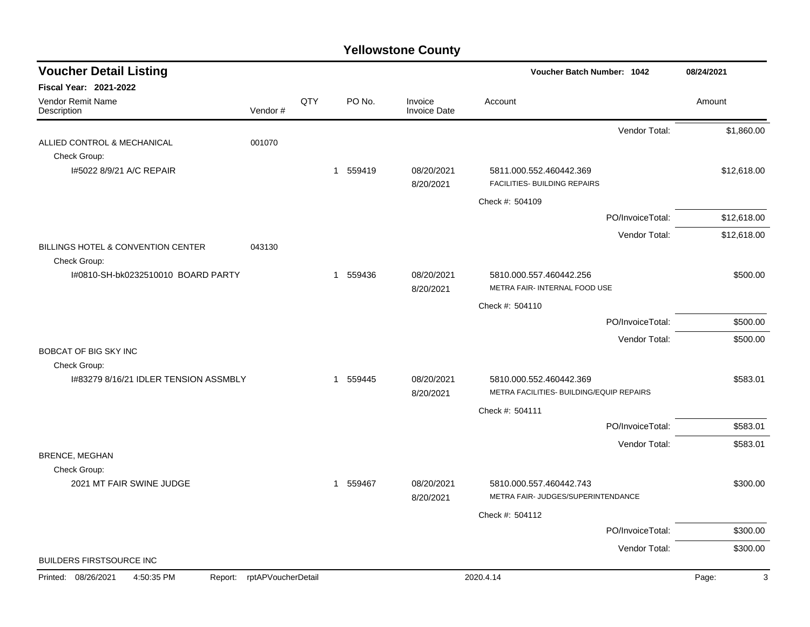| <b>Voucher Detail Listing</b>                      |                    |     |                        |                                | Voucher Batch Number: 1042                                    | 08/24/2021  |
|----------------------------------------------------|--------------------|-----|------------------------|--------------------------------|---------------------------------------------------------------|-------------|
| <b>Fiscal Year: 2021-2022</b>                      |                    |     |                        |                                |                                                               |             |
| <b>Vendor Remit Name</b><br>Description            | Vendor#            | QTY | PO No.                 | Invoice<br><b>Invoice Date</b> | Account                                                       | Amount      |
|                                                    |                    |     |                        |                                | Vendor Total:                                                 | \$1,860.00  |
| ALLIED CONTROL & MECHANICAL                        | 001070             |     |                        |                                |                                                               |             |
| Check Group:                                       |                    |     |                        | 08/20/2021                     |                                                               |             |
| I#5022 8/9/21 A/C REPAIR                           |                    |     | 1 559419               | 8/20/2021                      | 5811.000.552.460442.369<br>FACILITIES- BUILDING REPAIRS       | \$12,618.00 |
|                                                    |                    |     |                        |                                | Check #: 504109                                               |             |
|                                                    |                    |     |                        |                                | PO/InvoiceTotal:                                              | \$12,618.00 |
|                                                    |                    |     |                        |                                | Vendor Total:                                                 | \$12,618.00 |
| BILLINGS HOTEL & CONVENTION CENTER<br>Check Group: | 043130             |     |                        |                                |                                                               |             |
| I#0810-SH-bk0232510010 BOARD PARTY                 |                    |     | 559436<br>$\mathbf{1}$ | 08/20/2021                     | 5810.000.557.460442.256                                       | \$500.00    |
|                                                    |                    |     |                        | 8/20/2021                      | METRA FAIR- INTERNAL FOOD USE                                 |             |
|                                                    |                    |     |                        |                                | Check #: 504110                                               |             |
|                                                    |                    |     |                        |                                | PO/InvoiceTotal:                                              | \$500.00    |
|                                                    |                    |     |                        |                                | Vendor Total:                                                 | \$500.00    |
| <b>BOBCAT OF BIG SKY INC</b><br>Check Group:       |                    |     |                        |                                |                                                               |             |
| 1#83279 8/16/21 IDLER TENSION ASSMBLY              |                    |     | 1 559445               | 08/20/2021                     | 5810.000.552.460442.369                                       | \$583.01    |
|                                                    |                    |     |                        | 8/20/2021                      | METRA FACILITIES- BUILDING/EQUIP REPAIRS                      |             |
|                                                    |                    |     |                        |                                | Check #: 504111                                               |             |
|                                                    |                    |     |                        |                                | PO/InvoiceTotal:                                              | \$583.01    |
|                                                    |                    |     |                        |                                | Vendor Total:                                                 | \$583.01    |
| <b>BRENCE, MEGHAN</b>                              |                    |     |                        |                                |                                                               |             |
| Check Group:                                       |                    |     |                        |                                |                                                               |             |
| 2021 MT FAIR SWINE JUDGE                           |                    |     | 1 559467               | 08/20/2021<br>8/20/2021        | 5810.000.557.460442.743<br>METRA FAIR- JUDGES/SUPERINTENDANCE | \$300.00    |
|                                                    |                    |     |                        |                                | Check #: 504112                                               |             |
|                                                    |                    |     |                        |                                | PO/InvoiceTotal:                                              | \$300.00    |
|                                                    |                    |     |                        |                                | Vendor Total:                                                 | \$300.00    |
| <b>BUILDERS FIRSTSOURCE INC</b>                    |                    |     |                        |                                |                                                               |             |
| 4:50:35 PM<br>Printed:<br>08/26/2021<br>Report:    | rptAPVoucherDetail |     |                        |                                | 2020.4.14                                                     | Page:<br>3  |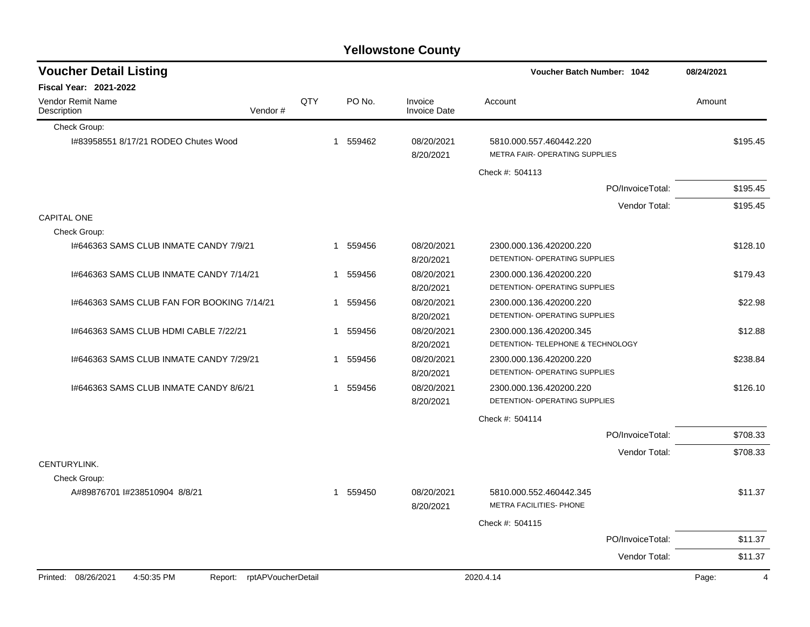| <b>Voucher Detail Listing</b>                                      |     |              |          |                                | <b>Voucher Batch Number: 1042</b>                            | 08/24/2021 |                |
|--------------------------------------------------------------------|-----|--------------|----------|--------------------------------|--------------------------------------------------------------|------------|----------------|
| <b>Fiscal Year: 2021-2022</b>                                      |     |              |          |                                |                                                              |            |                |
| Vendor Remit Name<br>Description<br>Vendor#                        | QTY |              | PO No.   | Invoice<br><b>Invoice Date</b> | Account                                                      | Amount     |                |
| Check Group:                                                       |     |              |          |                                |                                                              |            |                |
| I#83958551 8/17/21 RODEO Chutes Wood                               |     |              | 1 559462 | 08/20/2021<br>8/20/2021        | 5810.000.557.460442.220<br>METRA FAIR- OPERATING SUPPLIES    |            | \$195.45       |
|                                                                    |     |              |          |                                | Check #: 504113                                              |            |                |
|                                                                    |     |              |          |                                | PO/InvoiceTotal:                                             |            | \$195.45       |
|                                                                    |     |              |          |                                | Vendor Total:                                                |            | \$195.45       |
| <b>CAPITAL ONE</b>                                                 |     |              |          |                                |                                                              |            |                |
| Check Group:                                                       |     |              |          |                                |                                                              |            |                |
| 1#646363 SAMS CLUB INMATE CANDY 7/9/21                             |     |              | 1 559456 | 08/20/2021<br>8/20/2021        | 2300.000.136.420200.220<br>DETENTION- OPERATING SUPPLIES     |            | \$128.10       |
| 1#646363 SAMS CLUB INMATE CANDY 7/14/21                            |     |              | 1 559456 | 08/20/2021<br>8/20/2021        | 2300.000.136.420200.220<br>DETENTION- OPERATING SUPPLIES     |            | \$179.43       |
| 1#646363 SAMS CLUB FAN FOR BOOKING 7/14/21                         |     |              | 1 559456 | 08/20/2021<br>8/20/2021        | 2300.000.136.420200.220<br>DETENTION- OPERATING SUPPLIES     |            | \$22.98        |
| 1#646363 SAMS CLUB HDMI CABLE 7/22/21                              |     | $\mathbf{1}$ | 559456   | 08/20/2021<br>8/20/2021        | 2300.000.136.420200.345<br>DETENTION- TELEPHONE & TECHNOLOGY |            | \$12.88        |
| I#646363 SAMS CLUB INMATE CANDY 7/29/21                            |     | 1            | 559456   | 08/20/2021<br>8/20/2021        | 2300.000.136.420200.220<br>DETENTION- OPERATING SUPPLIES     |            | \$238.84       |
| I#646363 SAMS CLUB INMATE CANDY 8/6/21                             |     |              | 1 559456 | 08/20/2021<br>8/20/2021        | 2300.000.136.420200.220<br>DETENTION- OPERATING SUPPLIES     |            | \$126.10       |
|                                                                    |     |              |          |                                | Check #: 504114                                              |            |                |
|                                                                    |     |              |          |                                | PO/InvoiceTotal:                                             |            | \$708.33       |
|                                                                    |     |              |          |                                | Vendor Total:                                                |            | \$708.33       |
| CENTURYLINK.                                                       |     |              |          |                                |                                                              |            |                |
| Check Group:                                                       |     |              |          |                                |                                                              |            |                |
| A#89876701 l#238510904 8/8/21                                      |     |              | 1 559450 | 08/20/2021<br>8/20/2021        | 5810.000.552.460442.345<br>METRA FACILITIES- PHONE           |            | \$11.37        |
|                                                                    |     |              |          |                                | Check #: 504115                                              |            |                |
|                                                                    |     |              |          |                                | PO/InvoiceTotal:                                             |            | \$11.37        |
|                                                                    |     |              |          |                                | Vendor Total:                                                |            | \$11.37        |
| Printed: 08/26/2021<br>4:50:35 PM<br>rptAPVoucherDetail<br>Report: |     |              |          |                                | 2020.4.14                                                    | Page:      | $\overline{4}$ |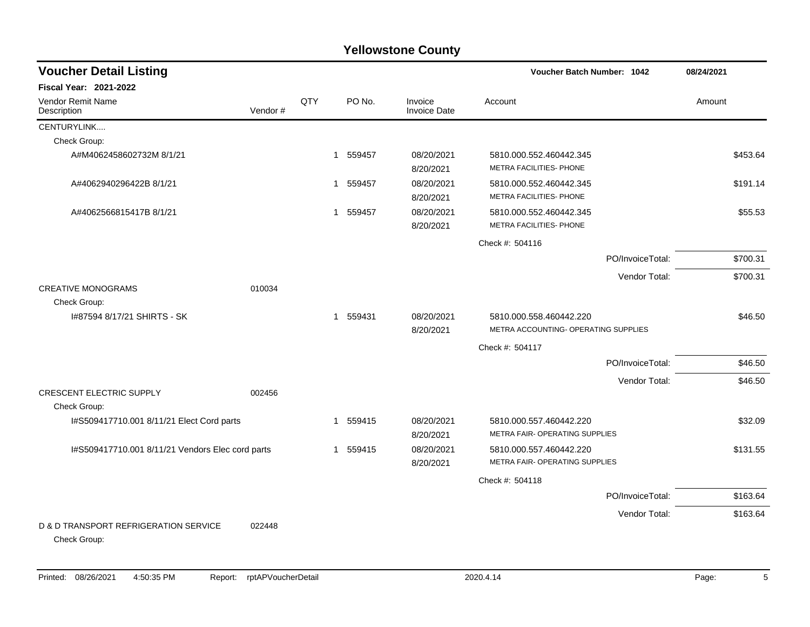| <b>Voucher Detail Listing</b>                    |          | Voucher Batch Number: 1042<br>08/24/2021 |                        |                                |                                      |                  |          |
|--------------------------------------------------|----------|------------------------------------------|------------------------|--------------------------------|--------------------------------------|------------------|----------|
| <b>Fiscal Year: 2021-2022</b>                    |          |                                          |                        |                                |                                      |                  |          |
| Vendor Remit Name<br>Description                 | Vendor # | QTY                                      | PO No.                 | Invoice<br><b>Invoice Date</b> | Account                              |                  | Amount   |
| CENTURYLINK                                      |          |                                          |                        |                                |                                      |                  |          |
| Check Group:                                     |          |                                          |                        |                                |                                      |                  |          |
| A#M4062458602732M 8/1/21                         |          |                                          | 1 559457               | 08/20/2021                     | 5810.000.552.460442.345              |                  | \$453.64 |
|                                                  |          |                                          |                        | 8/20/2021                      | METRA FACILITIES- PHONE              |                  |          |
| A#4062940296422B 8/1/21                          |          |                                          | 559457<br>$\mathbf{1}$ | 08/20/2021                     | 5810.000.552.460442.345              |                  | \$191.14 |
|                                                  |          |                                          |                        | 8/20/2021                      | METRA FACILITIES- PHONE              |                  |          |
| A#4062566815417B 8/1/21                          |          |                                          | 559457<br>$\mathbf 1$  | 08/20/2021                     | 5810.000.552.460442.345              |                  | \$55.53  |
|                                                  |          |                                          |                        | 8/20/2021                      | METRA FACILITIES- PHONE              |                  |          |
|                                                  |          |                                          |                        |                                | Check #: 504116                      |                  |          |
|                                                  |          |                                          |                        |                                |                                      | PO/InvoiceTotal: | \$700.31 |
|                                                  |          |                                          |                        |                                |                                      | Vendor Total:    | \$700.31 |
| <b>CREATIVE MONOGRAMS</b>                        | 010034   |                                          |                        |                                |                                      |                  |          |
| Check Group:                                     |          |                                          |                        |                                |                                      |                  |          |
| I#87594 8/17/21 SHIRTS - SK                      |          |                                          | 1 559431               | 08/20/2021                     | 5810.000.558.460442.220              |                  | \$46.50  |
|                                                  |          |                                          |                        | 8/20/2021                      | METRA ACCOUNTING- OPERATING SUPPLIES |                  |          |
|                                                  |          |                                          |                        |                                | Check #: 504117                      |                  |          |
|                                                  |          |                                          |                        |                                |                                      | PO/InvoiceTotal: | \$46.50  |
|                                                  |          |                                          |                        |                                |                                      | Vendor Total:    | \$46.50  |
| <b>CRESCENT ELECTRIC SUPPLY</b>                  | 002456   |                                          |                        |                                |                                      |                  |          |
| Check Group:                                     |          |                                          |                        |                                |                                      |                  |          |
| I#S509417710.001 8/11/21 Elect Cord parts        |          |                                          | 559415<br>-1           | 08/20/2021                     | 5810.000.557.460442.220              |                  | \$32.09  |
|                                                  |          |                                          |                        | 8/20/2021                      | METRA FAIR- OPERATING SUPPLIES       |                  |          |
| I#S509417710.001 8/11/21 Vendors Elec cord parts |          |                                          | 1 559415               | 08/20/2021                     | 5810.000.557.460442.220              |                  | \$131.55 |
|                                                  |          |                                          |                        | 8/20/2021                      | METRA FAIR- OPERATING SUPPLIES       |                  |          |
|                                                  |          |                                          |                        |                                | Check #: 504118                      |                  |          |
|                                                  |          |                                          |                        |                                |                                      | PO/InvoiceTotal: | \$163.64 |
|                                                  |          |                                          |                        |                                |                                      | Vendor Total:    | \$163.64 |
| D & D TRANSPORT REFRIGERATION SERVICE            | 022448   |                                          |                        |                                |                                      |                  |          |
| Check Group:                                     |          |                                          |                        |                                |                                      |                  |          |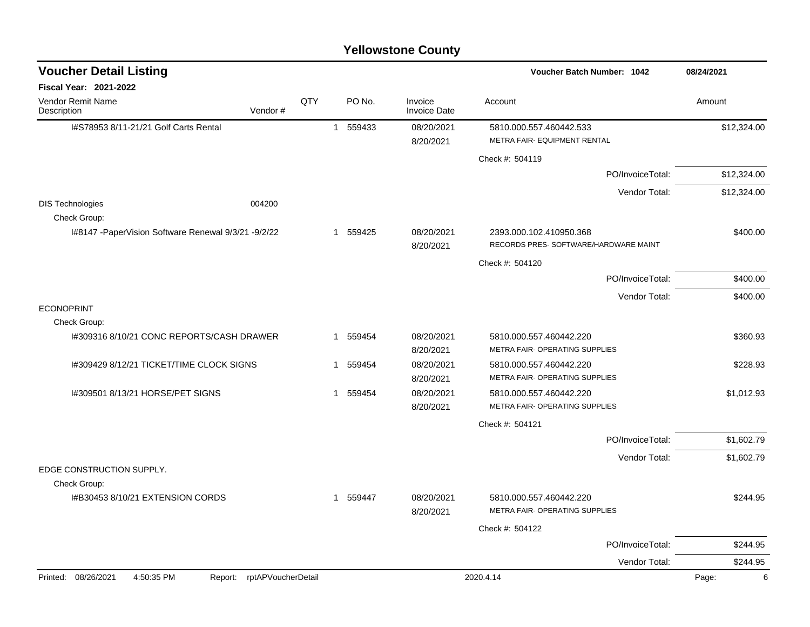| <b>Voucher Detail Listing</b>                          |                               |     |          |                                | <b>Voucher Batch Number: 1042</b>                                | 08/24/2021  |
|--------------------------------------------------------|-------------------------------|-----|----------|--------------------------------|------------------------------------------------------------------|-------------|
| <b>Fiscal Year: 2021-2022</b>                          |                               |     |          |                                |                                                                  |             |
| Vendor Remit Name<br>Description                       | Vendor#                       | QTY | PO No.   | Invoice<br><b>Invoice Date</b> | Account                                                          | Amount      |
| I#S78953 8/11-21/21 Golf Carts Rental                  |                               |     | 1 559433 | 08/20/2021<br>8/20/2021        | 5810.000.557.460442.533<br>METRA FAIR- EQUIPMENT RENTAL          | \$12,324.00 |
|                                                        |                               |     |          |                                | Check #: 504119                                                  |             |
|                                                        |                               |     |          |                                | PO/InvoiceTotal:                                                 | \$12,324.00 |
|                                                        |                               |     |          |                                | Vendor Total:                                                    | \$12,324.00 |
| <b>DIS Technologies</b><br>Check Group:                | 004200                        |     |          |                                |                                                                  |             |
| I#8147 - Paper Vision Software Renewal 9/3/21 - 9/2/22 |                               |     | 1 559425 | 08/20/2021<br>8/20/2021        | 2393.000.102.410950.368<br>RECORDS PRES- SOFTWARE/HARDWARE MAINT | \$400.00    |
|                                                        |                               |     |          |                                | Check #: 504120                                                  |             |
|                                                        |                               |     |          |                                | PO/InvoiceTotal:                                                 | \$400.00    |
|                                                        |                               |     |          |                                | Vendor Total:                                                    | \$400.00    |
| <b>ECONOPRINT</b><br>Check Group:                      |                               |     |          |                                |                                                                  |             |
| 1#309316 8/10/21 CONC REPORTS/CASH DRAWER              |                               |     | 1 559454 | 08/20/2021<br>8/20/2021        | 5810.000.557.460442.220<br>METRA FAIR- OPERATING SUPPLIES        | \$360.93    |
| I#309429 8/12/21 TICKET/TIME CLOCK SIGNS               |                               |     | 1 559454 | 08/20/2021<br>8/20/2021        | 5810.000.557.460442.220<br>METRA FAIR- OPERATING SUPPLIES        | \$228.93    |
| 1#309501 8/13/21 HORSE/PET SIGNS                       |                               |     | 1 559454 | 08/20/2021<br>8/20/2021        | 5810.000.557.460442.220<br>METRA FAIR- OPERATING SUPPLIES        | \$1,012.93  |
|                                                        |                               |     |          |                                | Check #: 504121                                                  |             |
|                                                        |                               |     |          |                                | PO/InvoiceTotal:                                                 | \$1,602.79  |
|                                                        |                               |     |          |                                | Vendor Total:                                                    | \$1,602.79  |
| EDGE CONSTRUCTION SUPPLY.                              |                               |     |          |                                |                                                                  |             |
| Check Group:                                           |                               |     |          |                                |                                                                  |             |
| I#B30453 8/10/21 EXTENSION CORDS                       |                               |     | 1 559447 | 08/20/2021<br>8/20/2021        | 5810.000.557.460442.220<br>METRA FAIR- OPERATING SUPPLIES        | \$244.95    |
|                                                        |                               |     |          |                                | Check #: 504122                                                  |             |
|                                                        |                               |     |          |                                | PO/InvoiceTotal:                                                 | \$244.95    |
|                                                        |                               |     |          |                                | Vendor Total:                                                    | \$244.95    |
| Printed: 08/26/2021<br>4:50:35 PM                      | rptAPVoucherDetail<br>Report: |     |          |                                | 2020.4.14                                                        | Page:<br>6  |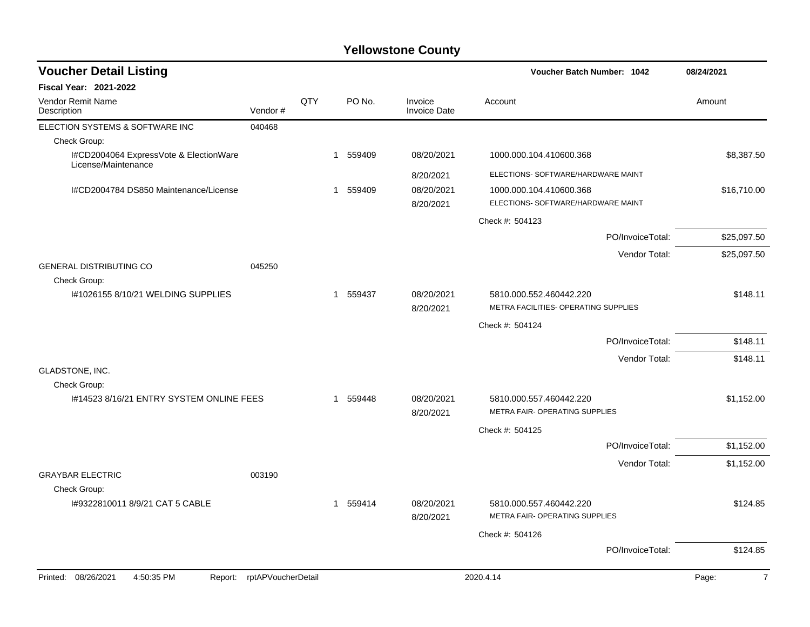| <b>Voucher Detail Listing</b>                                 |                    |     |          |                                | Voucher Batch Number: 1042                                      |                  | 08/24/2021              |  |
|---------------------------------------------------------------|--------------------|-----|----------|--------------------------------|-----------------------------------------------------------------|------------------|-------------------------|--|
| <b>Fiscal Year: 2021-2022</b>                                 |                    |     |          |                                |                                                                 |                  |                         |  |
| <b>Vendor Remit Name</b><br>Description                       | Vendor#            | QTY | PO No.   | Invoice<br><b>Invoice Date</b> | Account                                                         |                  | Amount                  |  |
| ELECTION SYSTEMS & SOFTWARE INC                               | 040468             |     |          |                                |                                                                 |                  |                         |  |
| Check Group:                                                  |                    |     |          |                                |                                                                 |                  |                         |  |
| I#CD2004064 ExpressVote & ElectionWare<br>License/Maintenance |                    |     | 1 559409 | 08/20/2021                     | 1000.000.104.410600.368                                         |                  | \$8,387.50              |  |
|                                                               |                    |     |          | 8/20/2021                      | ELECTIONS- SOFTWARE/HARDWARE MAINT                              |                  |                         |  |
| I#CD2004784 DS850 Maintenance/License                         |                    |     | 1 559409 | 08/20/2021<br>8/20/2021        | 1000.000.104.410600.368<br>ELECTIONS- SOFTWARE/HARDWARE MAINT   |                  | \$16,710.00             |  |
|                                                               |                    |     |          |                                | Check #: 504123                                                 |                  |                         |  |
|                                                               |                    |     |          |                                |                                                                 | PO/InvoiceTotal: | \$25,097.50             |  |
| <b>GENERAL DISTRIBUTING CO</b>                                | 045250             |     |          |                                |                                                                 | Vendor Total:    | \$25,097.50             |  |
| Check Group:                                                  |                    |     |          |                                |                                                                 |                  |                         |  |
| 1#1026155 8/10/21 WELDING SUPPLIES                            |                    |     | 1 559437 | 08/20/2021<br>8/20/2021        | 5810.000.552.460442.220<br>METRA FACILITIES- OPERATING SUPPLIES |                  | \$148.11                |  |
|                                                               |                    |     |          |                                | Check #: 504124                                                 |                  |                         |  |
|                                                               |                    |     |          |                                |                                                                 | PO/InvoiceTotal: | \$148.11                |  |
|                                                               |                    |     |          |                                |                                                                 | Vendor Total:    | \$148.11                |  |
| GLADSTONE, INC.                                               |                    |     |          |                                |                                                                 |                  |                         |  |
| Check Group:                                                  |                    |     |          |                                |                                                                 |                  |                         |  |
| I#14523 8/16/21 ENTRY SYSTEM ONLINE FEES                      |                    |     | 1 559448 | 08/20/2021<br>8/20/2021        | 5810.000.557.460442.220<br>METRA FAIR- OPERATING SUPPLIES       |                  | \$1,152.00              |  |
|                                                               |                    |     |          |                                | Check #: 504125                                                 |                  |                         |  |
|                                                               |                    |     |          |                                |                                                                 | PO/InvoiceTotal: | \$1,152.00              |  |
|                                                               |                    |     |          |                                |                                                                 | Vendor Total:    | \$1,152.00              |  |
| <b>GRAYBAR ELECTRIC</b>                                       | 003190             |     |          |                                |                                                                 |                  |                         |  |
| Check Group:                                                  |                    |     |          |                                |                                                                 |                  |                         |  |
| I#9322810011 8/9/21 CAT 5 CABLE                               |                    |     | 1 559414 | 08/20/2021<br>8/20/2021        | 5810.000.557.460442.220<br>METRA FAIR- OPERATING SUPPLIES       |                  | \$124.85                |  |
|                                                               |                    |     |          |                                | Check #: 504126                                                 |                  |                         |  |
|                                                               |                    |     |          |                                |                                                                 | PO/InvoiceTotal: | \$124.85                |  |
| Printed: 08/26/2021<br>4:50:35 PM<br>Report:                  | rptAPVoucherDetail |     |          |                                | 2020.4.14                                                       |                  | $\overline{7}$<br>Page: |  |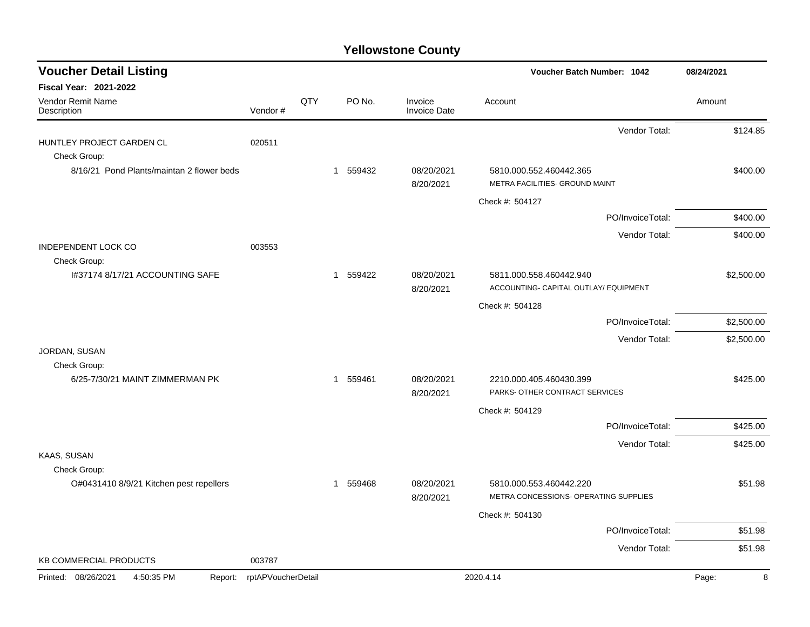| <b>Voucher Detail Listing</b>                             |                    |     |          |                                | Voucher Batch Number: 1042                                       | 08/24/2021 |
|-----------------------------------------------------------|--------------------|-----|----------|--------------------------------|------------------------------------------------------------------|------------|
| <b>Fiscal Year: 2021-2022</b>                             |                    |     |          |                                |                                                                  |            |
| <b>Vendor Remit Name</b><br>Description                   | Vendor#            | QTY | PO No.   | Invoice<br><b>Invoice Date</b> | Account                                                          | Amount     |
|                                                           |                    |     |          |                                | Vendor Total:                                                    | \$124.85   |
| HUNTLEY PROJECT GARDEN CL                                 | 020511             |     |          |                                |                                                                  |            |
| Check Group:<br>8/16/21 Pond Plants/maintan 2 flower beds |                    |     | 1 559432 | 08/20/2021<br>8/20/2021        | 5810.000.552.460442.365<br>METRA FACILITIES- GROUND MAINT        | \$400.00   |
|                                                           |                    |     |          |                                | Check #: 504127                                                  |            |
|                                                           |                    |     |          |                                | PO/InvoiceTotal:                                                 | \$400.00   |
|                                                           |                    |     |          |                                | Vendor Total:                                                    | \$400.00   |
| <b>INDEPENDENT LOCK CO</b><br>Check Group:                | 003553             |     |          |                                |                                                                  |            |
| I#37174 8/17/21 ACCOUNTING SAFE                           |                    |     | 1 559422 | 08/20/2021                     | 5811.000.558.460442.940                                          | \$2,500.00 |
|                                                           |                    |     |          | 8/20/2021                      | ACCOUNTING- CAPITAL OUTLAY/ EQUIPMENT                            |            |
|                                                           |                    |     |          |                                | Check #: 504128                                                  |            |
|                                                           |                    |     |          |                                | PO/InvoiceTotal:                                                 | \$2,500.00 |
| JORDAN, SUSAN                                             |                    |     |          |                                | Vendor Total:                                                    | \$2,500.00 |
| Check Group:                                              |                    |     |          |                                |                                                                  |            |
| 6/25-7/30/21 MAINT ZIMMERMAN PK                           |                    |     | 1 559461 | 08/20/2021                     | 2210.000.405.460430.399                                          | \$425.00   |
|                                                           |                    |     |          | 8/20/2021                      | PARKS- OTHER CONTRACT SERVICES                                   |            |
|                                                           |                    |     |          |                                | Check #: 504129                                                  |            |
|                                                           |                    |     |          |                                | PO/InvoiceTotal:                                                 | \$425.00   |
| KAAS, SUSAN                                               |                    |     |          |                                | Vendor Total:                                                    | \$425.00   |
| Check Group:                                              |                    |     |          |                                |                                                                  |            |
| O#0431410 8/9/21 Kitchen pest repellers                   |                    |     | 1 559468 | 08/20/2021<br>8/20/2021        | 5810.000.553.460442.220<br>METRA CONCESSIONS- OPERATING SUPPLIES | \$51.98    |
|                                                           |                    |     |          |                                | Check #: 504130                                                  |            |
|                                                           |                    |     |          |                                | PO/InvoiceTotal:                                                 | \$51.98    |
|                                                           |                    |     |          |                                | Vendor Total:                                                    | \$51.98    |
| <b>KB COMMERCIAL PRODUCTS</b>                             | 003787             |     |          |                                |                                                                  |            |
| Printed: 08/26/2021<br>4:50:35 PM<br>Report:              | rptAPVoucherDetail |     |          |                                | 2020.4.14                                                        | Page:<br>8 |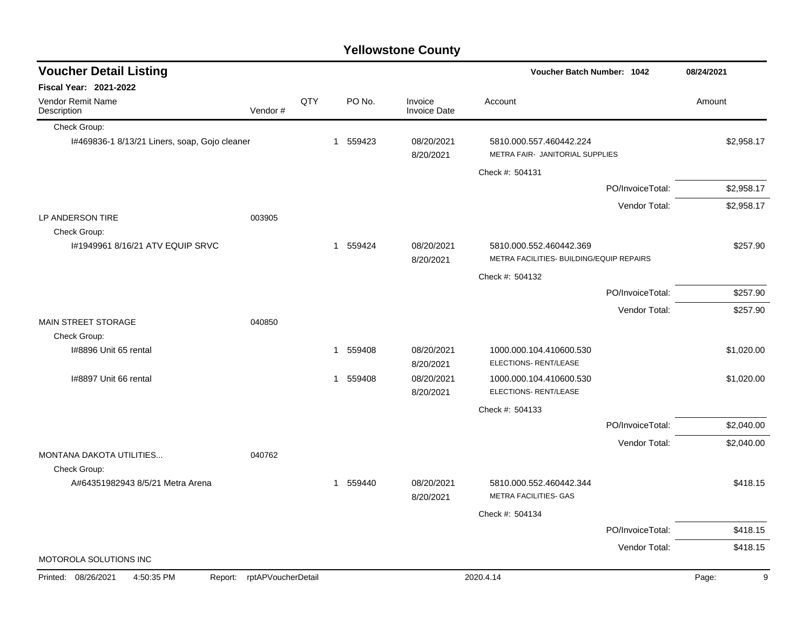| <b>Voucher Detail Listing</b>                    |                    |     |          |                                | Voucher Batch Number: 1042                                          |                  | 08/24/2021 |
|--------------------------------------------------|--------------------|-----|----------|--------------------------------|---------------------------------------------------------------------|------------------|------------|
| <b>Fiscal Year: 2021-2022</b>                    |                    |     |          |                                |                                                                     |                  |            |
| Vendor Remit Name<br>Description                 | Vendor#            | QTY | PO No.   | Invoice<br><b>Invoice Date</b> | Account                                                             |                  | Amount     |
| Check Group:                                     |                    |     |          |                                |                                                                     |                  |            |
| I#469836-1 8/13/21 Liners, soap, Gojo cleaner    |                    |     | 1 559423 | 08/20/2021<br>8/20/2021        | 5810.000.557.460442.224<br>METRA FAIR- JANITORIAL SUPPLIES          |                  | \$2,958.17 |
|                                                  |                    |     |          |                                | Check #: 504131                                                     |                  |            |
|                                                  |                    |     |          |                                |                                                                     | PO/InvoiceTotal: | \$2,958.17 |
|                                                  |                    |     |          |                                |                                                                     | Vendor Total:    | \$2,958.17 |
| LP ANDERSON TIRE                                 | 003905             |     |          |                                |                                                                     |                  |            |
| Check Group:<br>1#1949961 8/16/21 ATV EQUIP SRVC |                    |     | 1 559424 | 08/20/2021<br>8/20/2021        | 5810.000.552.460442.369<br>METRA FACILITIES- BUILDING/EQUIP REPAIRS |                  | \$257.90   |
|                                                  |                    |     |          |                                | Check #: 504132                                                     |                  |            |
|                                                  |                    |     |          |                                |                                                                     | PO/InvoiceTotal: | \$257.90   |
|                                                  |                    |     |          |                                |                                                                     | Vendor Total:    | \$257.90   |
| MAIN STREET STORAGE                              | 040850             |     |          |                                |                                                                     |                  |            |
| Check Group:                                     |                    |     |          |                                |                                                                     |                  |            |
| I#8896 Unit 65 rental                            |                    |     | 1 559408 | 08/20/2021<br>8/20/2021        | 1000.000.104.410600.530<br>ELECTIONS- RENT/LEASE                    |                  | \$1,020.00 |
| I#8897 Unit 66 rental                            |                    |     | 1 559408 | 08/20/2021<br>8/20/2021        | 1000.000.104.410600.530<br>ELECTIONS- RENT/LEASE                    |                  | \$1,020.00 |
|                                                  |                    |     |          |                                | Check #: 504133                                                     |                  |            |
|                                                  |                    |     |          |                                |                                                                     | PO/InvoiceTotal: | \$2,040.00 |
|                                                  |                    |     |          |                                |                                                                     | Vendor Total:    | \$2,040.00 |
| MONTANA DAKOTA UTILITIES                         | 040762             |     |          |                                |                                                                     |                  |            |
| Check Group:                                     |                    |     |          |                                |                                                                     |                  |            |
| A#64351982943 8/5/21 Metra Arena                 |                    |     | 1 559440 | 08/20/2021<br>8/20/2021        | 5810.000.552.460442.344<br>METRA FACILITIES- GAS                    |                  | \$418.15   |
|                                                  |                    |     |          |                                | Check #: 504134                                                     |                  |            |
|                                                  |                    |     |          |                                |                                                                     | PO/InvoiceTotal: | \$418.15   |
|                                                  |                    |     |          |                                |                                                                     | Vendor Total:    | \$418.15   |
| MOTOROLA SOLUTIONS INC                           |                    |     |          |                                |                                                                     |                  |            |
| 4:50:35 PM<br>Printed: 08/26/2021<br>Report:     | rptAPVoucherDetail |     |          |                                | 2020.4.14                                                           |                  | 9<br>Page: |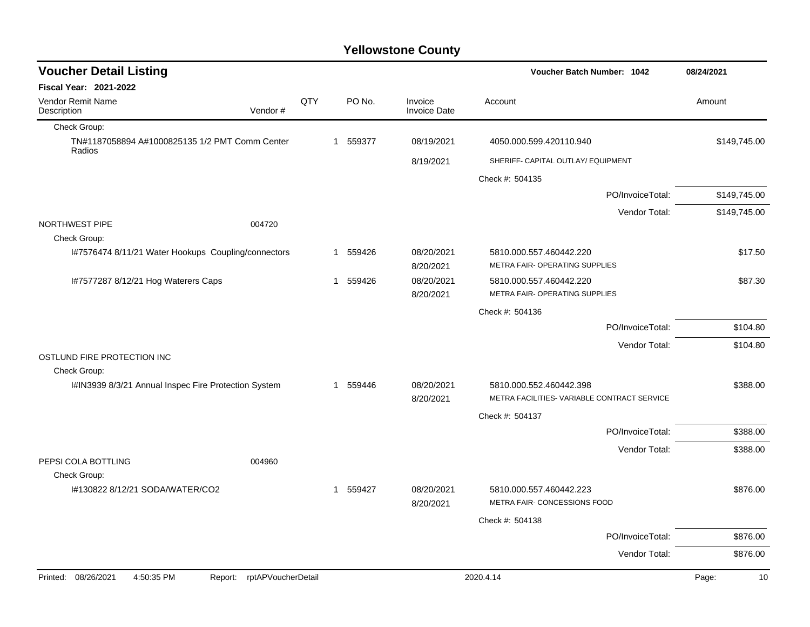| <b>Voucher Detail Listing</b>                                      |     |          |                                | Voucher Batch Number: 1042                                | 08/24/2021   |          |  |
|--------------------------------------------------------------------|-----|----------|--------------------------------|-----------------------------------------------------------|--------------|----------|--|
| <b>Fiscal Year: 2021-2022</b>                                      |     |          |                                |                                                           |              |          |  |
| <b>Vendor Remit Name</b><br>Vendor#<br>Description                 | QTY | PO No.   | Invoice<br><b>Invoice Date</b> | Account                                                   | Amount       |          |  |
| Check Group:                                                       |     |          |                                |                                                           |              |          |  |
| TN#1187058894 A#1000825135 1/2 PMT Comm Center<br>Radios           |     | 1 559377 | 08/19/2021                     | 4050.000.599.420110.940                                   | \$149,745.00 |          |  |
|                                                                    |     |          | 8/19/2021                      | SHERIFF- CAPITAL OUTLAY/ EQUIPMENT                        |              |          |  |
|                                                                    |     |          |                                | Check #: 504135                                           |              |          |  |
|                                                                    |     |          |                                | PO/InvoiceTotal:                                          | \$149,745.00 |          |  |
|                                                                    |     |          |                                | Vendor Total:                                             | \$149,745.00 |          |  |
| NORTHWEST PIPE<br>004720<br>Check Group:                           |     |          |                                |                                                           |              |          |  |
| I#7576474 8/11/21 Water Hookups Coupling/connectors                |     | 1 559426 | 08/20/2021<br>8/20/2021        | 5810.000.557.460442.220<br>METRA FAIR- OPERATING SUPPLIES |              | \$17.50  |  |
| I#7577287 8/12/21 Hog Waterers Caps                                |     | 1 559426 | 08/20/2021                     | 5810.000.557.460442.220                                   |              | \$87.30  |  |
|                                                                    |     |          | 8/20/2021                      | <b>METRA FAIR- OPERATING SUPPLIES</b>                     |              |          |  |
|                                                                    |     |          |                                | Check #: 504136                                           |              |          |  |
|                                                                    |     |          |                                | PO/InvoiceTotal:                                          |              | \$104.80 |  |
|                                                                    |     |          |                                | Vendor Total:                                             |              | \$104.80 |  |
| OSTLUND FIRE PROTECTION INC<br>Check Group:                        |     |          |                                |                                                           |              |          |  |
| I#IN3939 8/3/21 Annual Inspec Fire Protection System               |     | 1 559446 | 08/20/2021                     | 5810.000.552.460442.398                                   |              | \$388.00 |  |
|                                                                    |     |          | 8/20/2021                      | METRA FACILITIES- VARIABLE CONTRACT SERVICE               |              |          |  |
|                                                                    |     |          |                                | Check #: 504137                                           |              |          |  |
|                                                                    |     |          |                                | PO/InvoiceTotal:                                          |              | \$388.00 |  |
|                                                                    |     |          |                                | Vendor Total:                                             |              | \$388.00 |  |
| PEPSI COLA BOTTLING<br>004960                                      |     |          |                                |                                                           |              |          |  |
| Check Group:<br>I#130822 8/12/21 SODA/WATER/CO2                    |     | 1 559427 | 08/20/2021                     | 5810.000.557.460442.223                                   |              | \$876.00 |  |
|                                                                    |     |          | 8/20/2021                      | METRA FAIR- CONCESSIONS FOOD                              |              |          |  |
|                                                                    |     |          |                                | Check #: 504138                                           |              |          |  |
|                                                                    |     |          |                                | PO/InvoiceTotal:                                          |              | \$876.00 |  |
|                                                                    |     |          |                                | Vendor Total:                                             |              | \$876.00 |  |
| Printed: 08/26/2021<br>rptAPVoucherDetail<br>4:50:35 PM<br>Report: |     |          |                                | 2020.4.14                                                 | Page:        | 10       |  |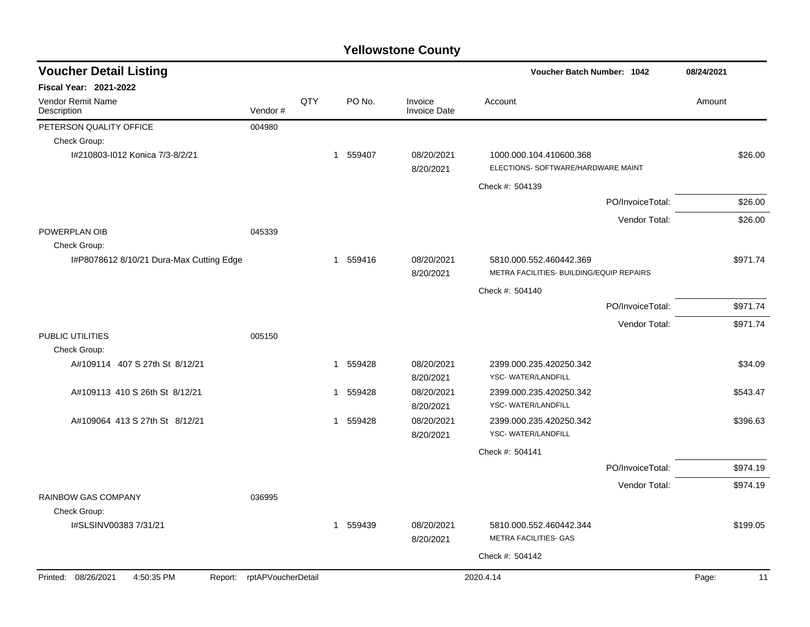| <b>Voucher Detail Listing</b>                |                    |     |          |        |                                | Voucher Batch Number: 1042                                          |                  | 08/24/2021  |
|----------------------------------------------|--------------------|-----|----------|--------|--------------------------------|---------------------------------------------------------------------|------------------|-------------|
| <b>Fiscal Year: 2021-2022</b>                |                    |     |          |        |                                |                                                                     |                  |             |
| Vendor Remit Name<br>Description             | Vendor#            | QTY |          | PO No. | Invoice<br><b>Invoice Date</b> | Account                                                             |                  | Amount      |
| PETERSON QUALITY OFFICE                      | 004980             |     |          |        |                                |                                                                     |                  |             |
| Check Group:                                 |                    |     |          |        |                                |                                                                     |                  |             |
| I#210803-I012 Konica 7/3-8/2/21              |                    |     | 1 559407 |        | 08/20/2021<br>8/20/2021        | 1000.000.104.410600.368<br>ELECTIONS- SOFTWARE/HARDWARE MAINT       |                  | \$26.00     |
|                                              |                    |     |          |        |                                | Check #: 504139                                                     |                  |             |
|                                              |                    |     |          |        |                                |                                                                     | PO/InvoiceTotal: | \$26.00     |
|                                              |                    |     |          |        |                                |                                                                     | Vendor Total:    | \$26.00     |
| POWERPLAN OIB<br>Check Group:                | 045339             |     |          |        |                                |                                                                     |                  |             |
| I#P8078612 8/10/21 Dura-Max Cutting Edge     |                    |     | 1 559416 |        | 08/20/2021<br>8/20/2021        | 5810.000.552.460442.369<br>METRA FACILITIES- BUILDING/EQUIP REPAIRS |                  | \$971.74    |
|                                              |                    |     |          |        |                                | Check #: 504140                                                     |                  |             |
|                                              |                    |     |          |        |                                |                                                                     | PO/InvoiceTotal: | \$971.74    |
|                                              |                    |     |          |        |                                |                                                                     | Vendor Total:    | \$971.74    |
| PUBLIC UTILITIES<br>Check Group:             | 005150             |     |          |        |                                |                                                                     |                  |             |
| A#109114 407 S 27th St 8/12/21               |                    |     | 1 559428 |        | 08/20/2021<br>8/20/2021        | 2399.000.235.420250.342<br>YSC-WATER/LANDFILL                       |                  | \$34.09     |
| A#109113 410 S 26th St 8/12/21               |                    |     | 1 559428 |        | 08/20/2021<br>8/20/2021        | 2399.000.235.420250.342<br>YSC-WATER/LANDFILL                       |                  | \$543.47    |
| A#109064 413 S 27th St 8/12/21               |                    |     | 1 559428 |        | 08/20/2021<br>8/20/2021        | 2399.000.235.420250.342<br>YSC-WATER/LANDFILL                       |                  | \$396.63    |
|                                              |                    |     |          |        |                                | Check #: 504141                                                     |                  |             |
|                                              |                    |     |          |        |                                |                                                                     | PO/InvoiceTotal: | \$974.19    |
|                                              |                    |     |          |        |                                |                                                                     | Vendor Total:    | \$974.19    |
| <b>RAINBOW GAS COMPANY</b><br>Check Group:   | 036995             |     |          |        |                                |                                                                     |                  |             |
| I#SLSINV00383 7/31/21                        |                    |     | 1 559439 |        | 08/20/2021<br>8/20/2021        | 5810.000.552.460442.344<br>METRA FACILITIES- GAS                    |                  | \$199.05    |
|                                              |                    |     |          |        |                                | Check #: 504142                                                     |                  |             |
| Printed: 08/26/2021<br>4:50:35 PM<br>Report: | rptAPVoucherDetail |     |          |        |                                | 2020.4.14                                                           |                  | Page:<br>11 |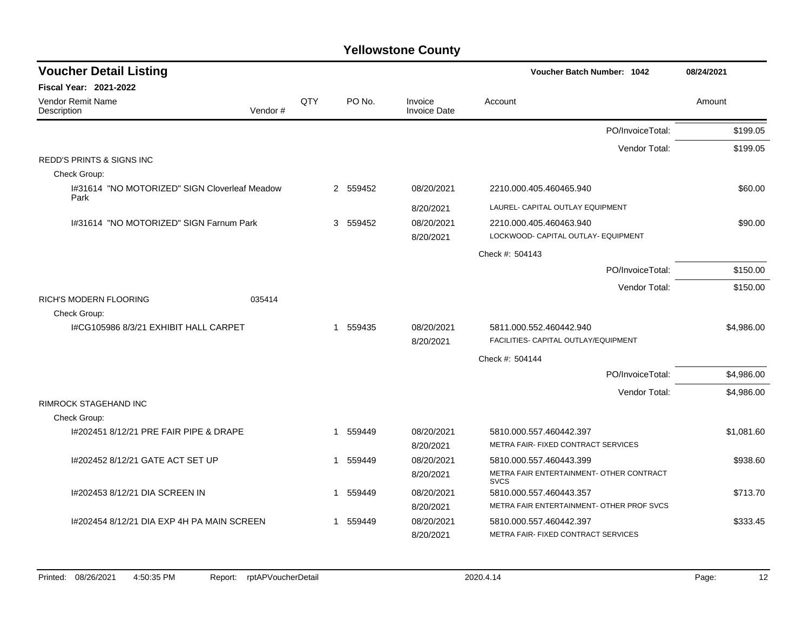| <b>Voucher Detail Listing</b>                         |         |     |                        |                         | <b>Voucher Batch Number: 1042</b>                       | 08/24/2021 |
|-------------------------------------------------------|---------|-----|------------------------|-------------------------|---------------------------------------------------------|------------|
| <b>Fiscal Year: 2021-2022</b>                         |         |     |                        |                         |                                                         |            |
| Vendor Remit Name<br>Description                      | Vendor# | QTY | PO No.                 | Invoice<br>Invoice Date | Account                                                 | Amount     |
|                                                       |         |     |                        |                         | PO/InvoiceTotal:                                        | \$199.05   |
|                                                       |         |     |                        |                         | Vendor Total:                                           | \$199.05   |
| <b>REDD'S PRINTS &amp; SIGNS INC</b>                  |         |     |                        |                         |                                                         |            |
| Check Group:                                          |         |     |                        |                         |                                                         |            |
| I#31614 "NO MOTORIZED" SIGN Cloverleaf Meadow<br>Park |         |     | 2 559452               | 08/20/2021              | 2210.000.405.460465.940                                 | \$60.00    |
|                                                       |         |     |                        | 8/20/2021               | LAUREL- CAPITAL OUTLAY EQUIPMENT                        |            |
| 1#31614 "NO MOTORIZED" SIGN Farnum Park               |         |     | 3 559452               | 08/20/2021              | 2210.000.405.460463.940                                 | \$90.00    |
|                                                       |         |     |                        | 8/20/2021               | LOCKWOOD- CAPITAL OUTLAY- EQUIPMENT                     |            |
|                                                       |         |     |                        |                         | Check #: 504143                                         |            |
|                                                       |         |     |                        |                         | PO/InvoiceTotal:                                        | \$150.00   |
|                                                       |         |     |                        |                         | Vendor Total:                                           | \$150.00   |
| RICH'S MODERN FLOORING                                | 035414  |     |                        |                         |                                                         |            |
| Check Group:                                          |         |     |                        |                         |                                                         |            |
| I#CG105986 8/3/21 EXHIBIT HALL CARPET                 |         |     | 1 559435               | 08/20/2021              | 5811.000.552.460442.940                                 | \$4,986.00 |
|                                                       |         |     |                        | 8/20/2021               | FACILITIES- CAPITAL OUTLAY/EQUIPMENT                    |            |
|                                                       |         |     |                        |                         | Check #: 504144                                         |            |
|                                                       |         |     |                        |                         | PO/InvoiceTotal:                                        | \$4,986.00 |
|                                                       |         |     |                        |                         | Vendor Total:                                           | \$4,986.00 |
| RIMROCK STAGEHAND INC                                 |         |     |                        |                         |                                                         |            |
| Check Group:                                          |         |     |                        |                         |                                                         |            |
| 1#202451 8/12/21 PRE FAIR PIPE & DRAPE                |         |     | 1 559449               | 08/20/2021              | 5810.000.557.460442.397                                 | \$1,081.60 |
|                                                       |         |     |                        | 8/20/2021               | METRA FAIR- FIXED CONTRACT SERVICES                     |            |
| 1#202452 8/12/21 GATE ACT SET UP                      |         |     | 559449<br>$\mathbf{1}$ | 08/20/2021              | 5810.000.557.460443.399                                 | \$938.60   |
|                                                       |         |     |                        | 8/20/2021               | METRA FAIR ENTERTAINMENT- OTHER CONTRACT<br><b>SVCS</b> |            |
| I#202453 8/12/21 DIA SCREEN IN                        |         |     | 559449<br>$\mathbf{1}$ | 08/20/2021              | 5810.000.557.460443.357                                 | \$713.70   |
|                                                       |         |     |                        | 8/20/2021               | METRA FAIR ENTERTAINMENT- OTHER PROF SVCS               |            |
| 1#202454 8/12/21 DIA EXP 4H PA MAIN SCREEN            |         |     | 559449<br>$\mathbf{1}$ | 08/20/2021              | 5810.000.557.460442.397                                 | \$333.45   |
|                                                       |         |     |                        | 8/20/2021               | METRA FAIR- FIXED CONTRACT SERVICES                     |            |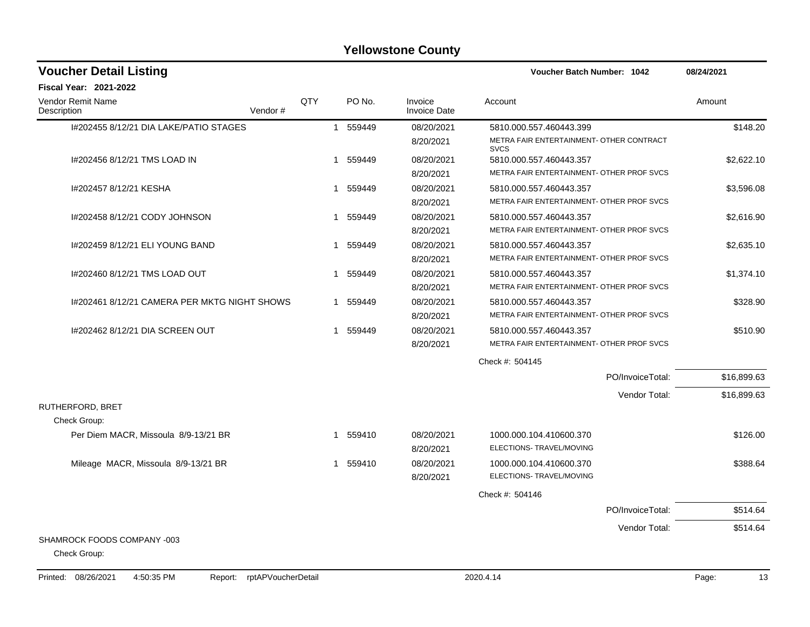| <b>Voucher Detail Listing</b>                      |     |             |          |                                | Voucher Batch Number: 1042                              | 08/24/2021  |
|----------------------------------------------------|-----|-------------|----------|--------------------------------|---------------------------------------------------------|-------------|
| <b>Fiscal Year: 2021-2022</b>                      |     |             |          |                                |                                                         |             |
| <b>Vendor Remit Name</b><br>Description<br>Vendor# | QTY |             | PO No.   | Invoice<br><b>Invoice Date</b> | Account                                                 | Amount      |
| 1#202455 8/12/21 DIA LAKE/PATIO STAGES             |     |             | 1 559449 | 08/20/2021                     | 5810.000.557.460443.399                                 | \$148.20    |
|                                                    |     |             |          | 8/20/2021                      | METRA FAIR ENTERTAINMENT- OTHER CONTRACT<br><b>SVCS</b> |             |
| I#202456 8/12/21 TMS LOAD IN                       |     |             | 1 559449 | 08/20/2021                     | 5810.000.557.460443.357                                 | \$2,622.10  |
|                                                    |     |             |          | 8/20/2021                      | METRA FAIR ENTERTAINMENT- OTHER PROF SVCS               |             |
| I#202457 8/12/21 KESHA                             |     | $\mathbf 1$ | 559449   | 08/20/2021                     | 5810.000.557.460443.357                                 | \$3,596.08  |
|                                                    |     |             |          | 8/20/2021                      | METRA FAIR ENTERTAINMENT- OTHER PROF SVCS               |             |
| I#202458 8/12/21 CODY JOHNSON                      |     | -1          | 559449   | 08/20/2021                     | 5810.000.557.460443.357                                 | \$2,616.90  |
|                                                    |     |             |          | 8/20/2021                      | METRA FAIR ENTERTAINMENT- OTHER PROF SVCS               |             |
| I#202459 8/12/21 ELI YOUNG BAND                    |     | 1           | 559449   | 08/20/2021                     | 5810.000.557.460443.357                                 | \$2,635.10  |
|                                                    |     |             |          | 8/20/2021                      | METRA FAIR ENTERTAINMENT- OTHER PROF SVCS               |             |
| I#202460 8/12/21 TMS LOAD OUT                      |     |             | 1 559449 | 08/20/2021                     | 5810.000.557.460443.357                                 | \$1,374.10  |
|                                                    |     |             |          | 8/20/2021                      | METRA FAIR ENTERTAINMENT- OTHER PROF SVCS               |             |
| 1#202461 8/12/21 CAMERA PER MKTG NIGHT SHOWS       |     | 1           | 559449   | 08/20/2021                     | 5810.000.557.460443.357                                 | \$328.90    |
|                                                    |     |             |          | 8/20/2021                      | METRA FAIR ENTERTAINMENT- OTHER PROF SVCS               |             |
| 1#202462 8/12/21 DIA SCREEN OUT                    |     | 1           | 559449   | 08/20/2021                     | 5810.000.557.460443.357                                 | \$510.90    |
|                                                    |     |             |          | 8/20/2021                      | METRA FAIR ENTERTAINMENT- OTHER PROF SVCS               |             |
|                                                    |     |             |          |                                | Check #: 504145                                         |             |
|                                                    |     |             |          |                                | PO/InvoiceTotal:                                        | \$16,899.63 |
|                                                    |     |             |          |                                | Vendor Total:                                           | \$16,899.63 |
| RUTHERFORD, BRET                                   |     |             |          |                                |                                                         |             |
| Check Group:                                       |     |             |          |                                |                                                         |             |
| Per Diem MACR, Missoula 8/9-13/21 BR               |     | -1          | 559410   | 08/20/2021                     | 1000.000.104.410600.370                                 | \$126.00    |
|                                                    |     |             |          | 8/20/2021                      | ELECTIONS- TRAVEL/MOVING                                |             |
| Mileage MACR, Missoula 8/9-13/21 BR                |     | 1           | 559410   | 08/20/2021                     | 1000.000.104.410600.370                                 | \$388.64    |
|                                                    |     |             |          | 8/20/2021                      | ELECTIONS- TRAVEL/MOVING                                |             |
|                                                    |     |             |          |                                | Check #: 504146                                         |             |
|                                                    |     |             |          |                                | PO/InvoiceTotal:                                        | \$514.64    |
|                                                    |     |             |          |                                | Vendor Total:                                           | \$514.64    |
| SHAMROCK FOODS COMPANY -003                        |     |             |          |                                |                                                         |             |
| Check Group:                                       |     |             |          |                                |                                                         |             |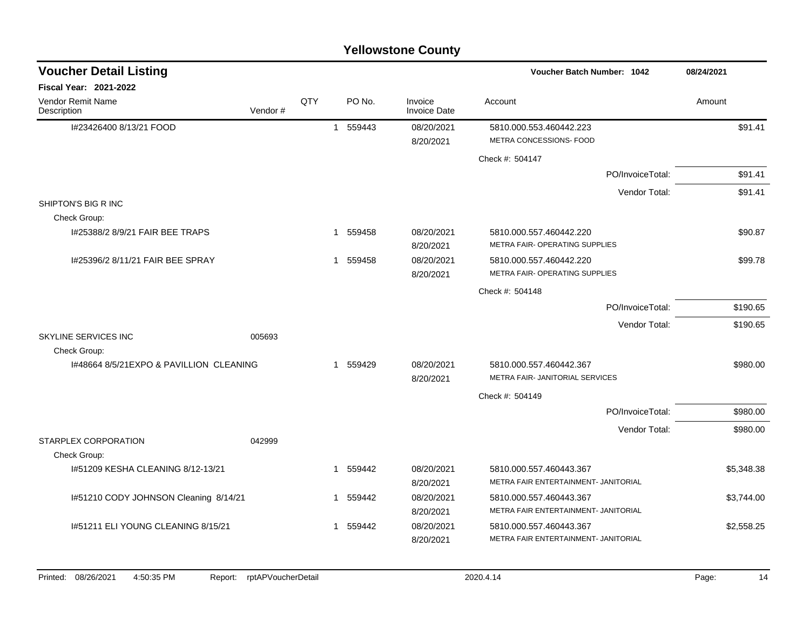| <b>Voucher Detail Listing</b>            |         |     |                        |                                | <b>Voucher Batch Number: 1042</b>                         | 08/24/2021 |
|------------------------------------------|---------|-----|------------------------|--------------------------------|-----------------------------------------------------------|------------|
| <b>Fiscal Year: 2021-2022</b>            |         |     |                        |                                |                                                           |            |
| <b>Vendor Remit Name</b><br>Description  | Vendor# | QTY | PO No.                 | Invoice<br><b>Invoice Date</b> | Account                                                   | Amount     |
| I#23426400 8/13/21 FOOD                  |         |     | 559443<br>$\mathbf{1}$ | 08/20/2021<br>8/20/2021        | 5810.000.553.460442.223<br>METRA CONCESSIONS- FOOD        | \$91.41    |
|                                          |         |     |                        |                                | Check #: 504147                                           |            |
|                                          |         |     |                        |                                | PO/InvoiceTotal:                                          | \$91.41    |
|                                          |         |     |                        |                                | Vendor Total:                                             | \$91.41    |
| SHIPTON'S BIG R INC                      |         |     |                        |                                |                                                           |            |
| Check Group:                             |         |     |                        |                                |                                                           |            |
| I#25388/2 8/9/21 FAIR BEE TRAPS          |         |     | 559458<br>1            | 08/20/2021                     | 5810.000.557.460442.220                                   | \$90.87    |
|                                          |         |     |                        | 8/20/2021                      | METRA FAIR- OPERATING SUPPLIES                            |            |
| 1#25396/2 8/11/21 FAIR BEE SPRAY         |         |     | 1 559458               | 08/20/2021<br>8/20/2021        | 5810.000.557.460442.220<br>METRA FAIR- OPERATING SUPPLIES | \$99.78    |
|                                          |         |     |                        |                                | Check #: 504148                                           |            |
|                                          |         |     |                        |                                | PO/InvoiceTotal:                                          | \$190.65   |
|                                          |         |     |                        |                                | Vendor Total:                                             |            |
| <b>SKYLINE SERVICES INC</b>              | 005693  |     |                        |                                |                                                           | \$190.65   |
| Check Group:                             |         |     |                        |                                |                                                           |            |
| 1#48664 8/5/21 EXPO & PAVILLION CLEANING |         |     | 559429<br>1            | 08/20/2021                     | 5810.000.557.460442.367                                   | \$980.00   |
|                                          |         |     |                        | 8/20/2021                      | METRA FAIR- JANITORIAL SERVICES                           |            |
|                                          |         |     |                        |                                | Check #: 504149                                           |            |
|                                          |         |     |                        |                                | PO/InvoiceTotal:                                          | \$980.00   |
|                                          |         |     |                        |                                | Vendor Total:                                             | \$980.00   |
| STARPLEX CORPORATION                     | 042999  |     |                        |                                |                                                           |            |
| Check Group:                             |         |     |                        |                                |                                                           |            |
| 1#51209 KESHA CLEANING 8/12-13/21        |         |     | 1 559442               | 08/20/2021                     | 5810.000.557.460443.367                                   | \$5,348.38 |
|                                          |         |     |                        | 8/20/2021                      | METRA FAIR ENTERTAINMENT- JANITORIAL                      |            |
| I#51210 CODY JOHNSON Cleaning 8/14/21    |         |     | 1 559442               | 08/20/2021                     | 5810.000.557.460443.367                                   | \$3,744.00 |
|                                          |         |     |                        | 8/20/2021                      | METRA FAIR ENTERTAINMENT- JANITORIAL                      |            |
| I#51211 ELI YOUNG CLEANING 8/15/21       |         |     | 1 559442               | 08/20/2021                     | 5810.000.557.460443.367                                   | \$2,558.25 |
|                                          |         |     |                        | 8/20/2021                      | METRA FAIR ENTERTAINMENT- JANITORIAL                      |            |
|                                          |         |     |                        |                                |                                                           |            |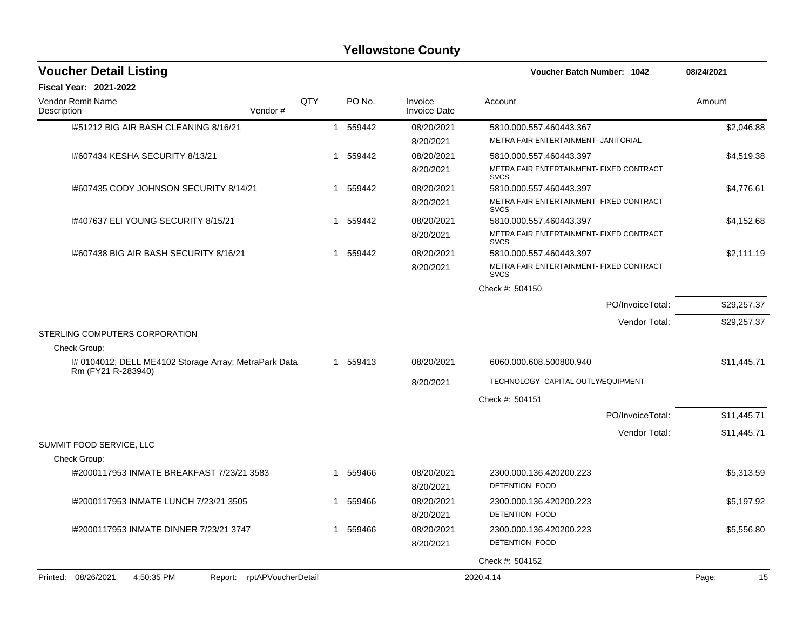| <b>Voucher Detail Listing</b>                                   |     |   |          |                                | <b>Voucher Batch Number: 1042</b>                       | 08/24/2021  |
|-----------------------------------------------------------------|-----|---|----------|--------------------------------|---------------------------------------------------------|-------------|
| <b>Fiscal Year: 2021-2022</b>                                   |     |   |          |                                |                                                         |             |
| Vendor Remit Name<br>Description<br>Vendor#                     | QTY |   | PO No.   | Invoice<br><b>Invoice Date</b> | Account                                                 | Amount      |
| 1#51212 BIG AIR BASH CLEANING 8/16/21                           |     |   | 1 559442 | 08/20/2021                     | 5810.000.557.460443.367                                 | \$2,046.88  |
|                                                                 |     |   |          | 8/20/2021                      | METRA FAIR ENTERTAINMENT- JANITORIAL                    |             |
| 1#607434 KESHA SECURITY 8/13/21                                 |     |   | 1 559442 | 08/20/2021                     | 5810.000.557.460443.397                                 | \$4,519.38  |
|                                                                 |     |   |          | 8/20/2021                      | METRA FAIR ENTERTAINMENT- FIXED CONTRACT<br><b>SVCS</b> |             |
| 1#607435 CODY JOHNSON SECURITY 8/14/21                          |     | 1 | 559442   | 08/20/2021                     | 5810.000.557.460443.397                                 | \$4,776.61  |
|                                                                 |     |   |          | 8/20/2021                      | METRA FAIR ENTERTAINMENT- FIXED CONTRACT<br><b>SVCS</b> |             |
| 1#407637 ELI YOUNG SECURITY 8/15/21                             |     |   | 1 559442 | 08/20/2021                     | 5810.000.557.460443.397                                 | \$4,152.68  |
|                                                                 |     |   |          | 8/20/2021                      | METRA FAIR ENTERTAINMENT- FIXED CONTRACT<br><b>SVCS</b> |             |
| 1#607438 BIG AIR BASH SECURITY 8/16/21                          |     |   | 1 559442 | 08/20/2021                     | 5810.000.557.460443.397                                 | \$2,111.19  |
|                                                                 |     |   |          | 8/20/2021                      | METRA FAIR ENTERTAINMENT- FIXED CONTRACT<br><b>SVCS</b> |             |
|                                                                 |     |   |          |                                | Check #: 504150                                         |             |
|                                                                 |     |   |          |                                | PO/InvoiceTotal:                                        | \$29.257.37 |
|                                                                 |     |   |          |                                | Vendor Total:                                           | \$29,257.37 |
| STERLING COMPUTERS CORPORATION<br>Check Group:                  |     |   |          |                                |                                                         |             |
| I# 0104012; DELL ME4102 Storage Array; MetraPark Data           |     |   | 1 559413 | 08/20/2021                     | 6060.000.608.500800.940                                 | \$11,445.71 |
| Rm (FY21 R-283940)                                              |     |   |          | 8/20/2021                      | TECHNOLOGY- CAPITAL OUTLY/EQUIPMENT                     |             |
|                                                                 |     |   |          |                                | Check #: 504151                                         |             |
|                                                                 |     |   |          |                                | PO/InvoiceTotal:                                        | \$11,445.71 |
|                                                                 |     |   |          |                                | Vendor Total:                                           | \$11,445.71 |
| SUMMIT FOOD SERVICE, LLC                                        |     |   |          |                                |                                                         |             |
| Check Group:                                                    |     |   |          |                                |                                                         |             |
| I#2000117953 INMATE BREAKFAST 7/23/21 3583                      |     |   | 1 559466 | 08/20/2021<br>8/20/2021        | 2300.000.136.420200.223<br><b>DETENTION- FOOD</b>       | \$5,313.59  |
| I#2000117953 INMATE LUNCH 7/23/21 3505                          |     | 1 | 559466   | 08/20/2021                     | 2300.000.136.420200.223                                 | \$5,197.92  |
|                                                                 |     |   |          | 8/20/2021                      | <b>DETENTION- FOOD</b>                                  |             |
| I#2000117953 INMATE DINNER 7/23/21 3747                         |     |   | 1 559466 | 08/20/2021                     | 2300.000.136.420200.223                                 | \$5,556.80  |
|                                                                 |     |   |          | 8/20/2021                      | DETENTION- FOOD                                         |             |
|                                                                 |     |   |          |                                | Check #: 504152                                         |             |
| Printed: 08/26/2021<br>4:50:35 PM<br>Report: rptAPVoucherDetail |     |   |          |                                | 2020.4.14                                               | 15<br>Page: |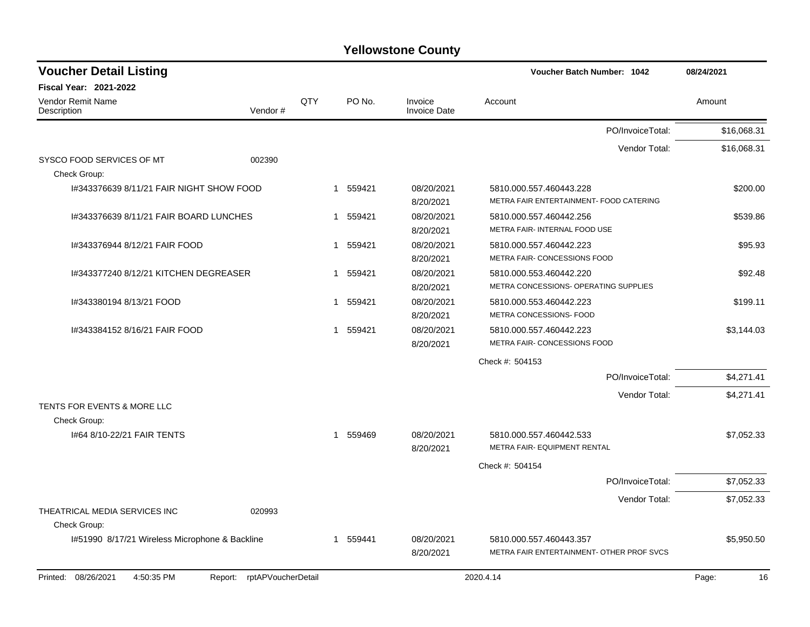| <b>Voucher Detail Listing</b>                  |                               |                |          |                                | <b>Voucher Batch Number: 1042</b>                                  | 08/24/2021  |
|------------------------------------------------|-------------------------------|----------------|----------|--------------------------------|--------------------------------------------------------------------|-------------|
| <b>Fiscal Year: 2021-2022</b>                  |                               |                |          |                                |                                                                    |             |
| <b>Vendor Remit Name</b><br>Description        | Vendor#                       | QTY            | PO No.   | Invoice<br><b>Invoice Date</b> | Account                                                            | Amount      |
|                                                |                               |                |          |                                | PO/InvoiceTotal:                                                   | \$16,068.31 |
|                                                |                               |                |          |                                | Vendor Total:                                                      | \$16,068.31 |
| SYSCO FOOD SERVICES OF MT<br>Check Group:      | 002390                        |                |          |                                |                                                                    |             |
| I#343376639 8/11/21 FAIR NIGHT SHOW FOOD       |                               |                | 1 559421 | 08/20/2021<br>8/20/2021        | 5810.000.557.460443.228<br>METRA FAIR ENTERTAINMENT- FOOD CATERING | \$200.00    |
| 1#343376639 8/11/21 FAIR BOARD LUNCHES         |                               |                | 1 559421 | 08/20/2021<br>8/20/2021        | 5810.000.557.460442.256<br>METRA FAIR- INTERNAL FOOD USE           | \$539.86    |
| 1#343376944 8/12/21 FAIR FOOD                  |                               |                | 1 559421 | 08/20/2021<br>8/20/2021        | 5810.000.557.460442.223<br>METRA FAIR- CONCESSIONS FOOD            | \$95.93     |
| 1#343377240 8/12/21 KITCHEN DEGREASER          |                               |                | 1 559421 | 08/20/2021<br>8/20/2021        | 5810.000.553.460442.220<br>METRA CONCESSIONS- OPERATING SUPPLIES   | \$92.48     |
| I#343380194 8/13/21 FOOD                       |                               | 1              | 559421   | 08/20/2021<br>8/20/2021        | 5810.000.553.460442.223<br>METRA CONCESSIONS- FOOD                 | \$199.11    |
| 1#343384152 8/16/21 FAIR FOOD                  |                               | $\overline{1}$ | 559421   | 08/20/2021<br>8/20/2021        | 5810.000.557.460442.223<br>METRA FAIR- CONCESSIONS FOOD            | \$3,144.03  |
|                                                |                               |                |          |                                | Check #: 504153                                                    |             |
|                                                |                               |                |          |                                | PO/InvoiceTotal:                                                   | \$4,271.41  |
|                                                |                               |                |          |                                | Vendor Total:                                                      | \$4,271.41  |
| TENTS FOR EVENTS & MORE LLC                    |                               |                |          |                                |                                                                    |             |
| Check Group:                                   |                               |                |          |                                |                                                                    |             |
| 1#64 8/10-22/21 FAIR TENTS                     |                               |                | 1 559469 | 08/20/2021<br>8/20/2021        | 5810.000.557.460442.533<br>METRA FAIR- EQUIPMENT RENTAL            | \$7,052.33  |
|                                                |                               |                |          |                                | Check #: 504154                                                    |             |
|                                                |                               |                |          |                                | PO/InvoiceTotal:                                                   | \$7,052.33  |
|                                                |                               |                |          |                                | Vendor Total:                                                      | \$7,052.33  |
| THEATRICAL MEDIA SERVICES INC<br>Check Group:  | 020993                        |                |          |                                |                                                                    |             |
| 1#51990 8/17/21 Wireless Microphone & Backline |                               |                | 1 559441 | 08/20/2021                     | 5810.000.557.460443.357                                            | \$5,950.50  |
|                                                |                               |                |          | 8/20/2021                      | METRA FAIR ENTERTAINMENT- OTHER PROF SVCS                          |             |
| 4:50:35 PM<br>Printed: 08/26/2021              | rptAPVoucherDetail<br>Report: |                |          |                                | 2020.4.14                                                          | Page:<br>16 |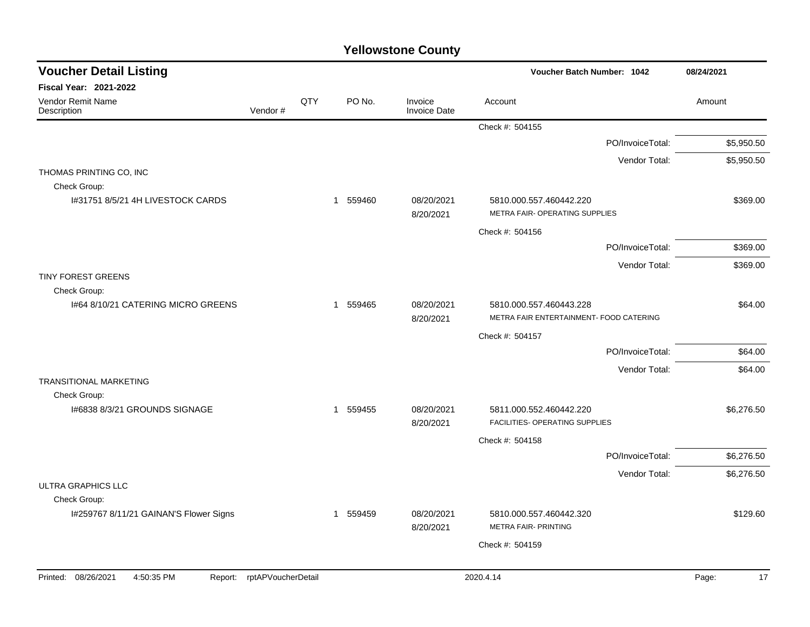| <b>Voucher Detail Listing</b>                |                    |     |          |                                | <b>Voucher Batch Number: 1042</b>                                  |                  | 08/24/2021  |
|----------------------------------------------|--------------------|-----|----------|--------------------------------|--------------------------------------------------------------------|------------------|-------------|
| Fiscal Year: 2021-2022                       |                    |     |          |                                |                                                                    |                  |             |
| Vendor Remit Name<br>Description             | Vendor#            | QTY | PO No.   | Invoice<br><b>Invoice Date</b> | Account                                                            |                  | Amount      |
|                                              |                    |     |          |                                | Check #: 504155                                                    |                  |             |
|                                              |                    |     |          |                                |                                                                    | PO/InvoiceTotal: | \$5,950.50  |
|                                              |                    |     |          |                                |                                                                    | Vendor Total:    | \$5,950.50  |
| THOMAS PRINTING CO, INC                      |                    |     |          |                                |                                                                    |                  |             |
| Check Group:                                 |                    |     |          |                                |                                                                    |                  |             |
| 1#31751 8/5/21 4H LIVESTOCK CARDS            |                    |     | 1 559460 | 08/20/2021<br>8/20/2021        | 5810.000.557.460442.220<br>METRA FAIR- OPERATING SUPPLIES          |                  | \$369.00    |
|                                              |                    |     |          |                                | Check #: 504156                                                    |                  |             |
|                                              |                    |     |          |                                |                                                                    | PO/InvoiceTotal: | \$369.00    |
|                                              |                    |     |          |                                |                                                                    | Vendor Total:    | \$369.00    |
| TINY FOREST GREENS                           |                    |     |          |                                |                                                                    |                  |             |
| Check Group:                                 |                    |     |          |                                |                                                                    |                  |             |
| 1#64 8/10/21 CATERING MICRO GREENS           |                    |     | 1 559465 | 08/20/2021<br>8/20/2021        | 5810.000.557.460443.228<br>METRA FAIR ENTERTAINMENT- FOOD CATERING |                  | \$64.00     |
|                                              |                    |     |          |                                | Check #: 504157                                                    |                  |             |
|                                              |                    |     |          |                                |                                                                    | PO/InvoiceTotal: | \$64.00     |
|                                              |                    |     |          |                                |                                                                    | Vendor Total:    | \$64.00     |
| <b>TRANSITIONAL MARKETING</b>                |                    |     |          |                                |                                                                    |                  |             |
| Check Group:                                 |                    |     |          |                                |                                                                    |                  |             |
| I#6838 8/3/21 GROUNDS SIGNAGE                |                    |     | 1 559455 | 08/20/2021<br>8/20/2021        | 5811.000.552.460442.220<br>FACILITIES- OPERATING SUPPLIES          |                  | \$6,276.50  |
|                                              |                    |     |          |                                | Check #: 504158                                                    |                  |             |
|                                              |                    |     |          |                                |                                                                    | PO/InvoiceTotal: | \$6,276.50  |
|                                              |                    |     |          |                                |                                                                    | Vendor Total:    | \$6,276.50  |
| <b>ULTRA GRAPHICS LLC</b>                    |                    |     |          |                                |                                                                    |                  |             |
| Check Group:                                 |                    |     |          |                                |                                                                    |                  |             |
| I#259767 8/11/21 GAINAN'S Flower Signs       |                    |     | 1 559459 | 08/20/2021<br>8/20/2021        | 5810.000.557.460442.320<br><b>METRA FAIR- PRINTING</b>             |                  | \$129.60    |
|                                              |                    |     |          |                                | Check #: 504159                                                    |                  |             |
|                                              |                    |     |          |                                |                                                                    |                  |             |
| Printed: 08/26/2021<br>4:50:35 PM<br>Report: | rptAPVoucherDetail |     |          |                                | 2020.4.14                                                          |                  | Page:<br>17 |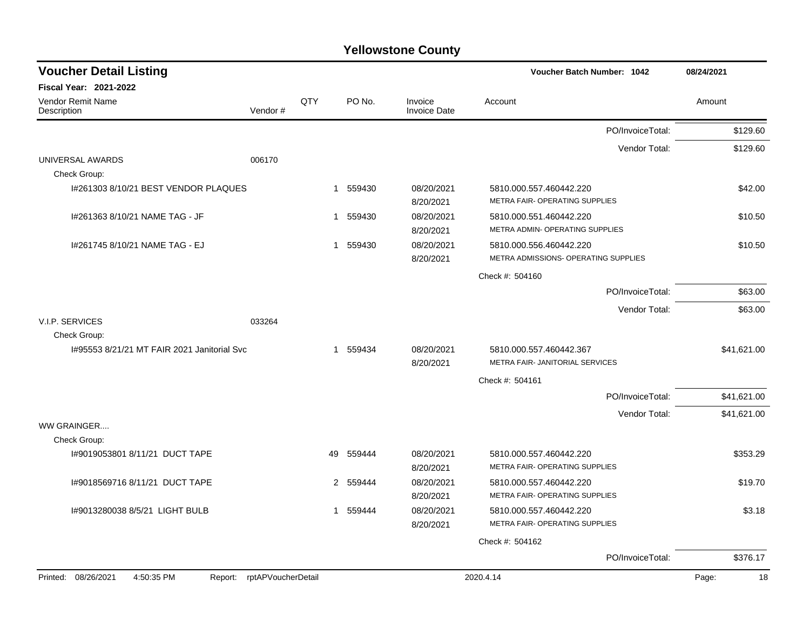| <b>Voucher Detail Listing</b>                |                    |     |          |                                | Voucher Batch Number: 1042                                       | 08/24/2021  |
|----------------------------------------------|--------------------|-----|----------|--------------------------------|------------------------------------------------------------------|-------------|
| Fiscal Year: 2021-2022                       |                    |     |          |                                |                                                                  |             |
| Vendor Remit Name<br>Description             | Vendor#            | QTY | PO No.   | Invoice<br><b>Invoice Date</b> | Account                                                          | Amount      |
|                                              |                    |     |          |                                | PO/InvoiceTotal:                                                 | \$129.60    |
|                                              |                    |     |          |                                | Vendor Total:                                                    | \$129.60    |
| UNIVERSAL AWARDS<br>Check Group:             | 006170             |     |          |                                |                                                                  |             |
| I#261303 8/10/21 BEST VENDOR PLAQUES         |                    |     | 1 559430 | 08/20/2021<br>8/20/2021        | 5810.000.557.460442.220<br><b>METRA FAIR- OPERATING SUPPLIES</b> | \$42.00     |
| I#261363 8/10/21 NAME TAG - JF               |                    | 1   | 559430   | 08/20/2021<br>8/20/2021        | 5810.000.551.460442.220<br>METRA ADMIN- OPERATING SUPPLIES       | \$10.50     |
| I#261745 8/10/21 NAME TAG - EJ               |                    | 1   | 559430   | 08/20/2021<br>8/20/2021        | 5810.000.556.460442.220<br>METRA ADMISSIONS- OPERATING SUPPLIES  | \$10.50     |
|                                              |                    |     |          |                                | Check #: 504160                                                  |             |
|                                              |                    |     |          |                                | PO/InvoiceTotal:                                                 | \$63.00     |
|                                              |                    |     |          |                                | Vendor Total:                                                    | \$63.00     |
| V.I.P. SERVICES                              | 033264             |     |          |                                |                                                                  |             |
| Check Group:                                 |                    |     |          |                                |                                                                  |             |
| 1#95553 8/21/21 MT FAIR 2021 Janitorial Svc  |                    |     | 1 559434 | 08/20/2021<br>8/20/2021        | 5810.000.557.460442.367<br>METRA FAIR- JANITORIAL SERVICES       | \$41.621.00 |
|                                              |                    |     |          |                                | Check #: 504161                                                  |             |
|                                              |                    |     |          |                                | PO/InvoiceTotal:                                                 | \$41,621.00 |
|                                              |                    |     |          |                                | Vendor Total:                                                    | \$41,621.00 |
| WW GRAINGER<br>Check Group:                  |                    |     |          |                                |                                                                  |             |
| I#9019053801 8/11/21 DUCT TAPE               |                    | 49  | 559444   | 08/20/2021<br>8/20/2021        | 5810.000.557.460442.220<br>METRA FAIR- OPERATING SUPPLIES        | \$353.29    |
| 1#9018569716 8/11/21 DUCT TAPE               |                    | 2   | 559444   | 08/20/2021<br>8/20/2021        | 5810.000.557.460442.220<br>METRA FAIR- OPERATING SUPPLIES        | \$19.70     |
| I#9013280038 8/5/21 LIGHT BULB               |                    |     | 1 559444 | 08/20/2021<br>8/20/2021        | 5810.000.557.460442.220<br>METRA FAIR- OPERATING SUPPLIES        | \$3.18      |
|                                              |                    |     |          |                                | Check #: 504162                                                  |             |
|                                              |                    |     |          |                                | PO/InvoiceTotal:                                                 | \$376.17    |
| Printed: 08/26/2021<br>4:50:35 PM<br>Report: | rptAPVoucherDetail |     |          |                                | 2020.4.14                                                        | Page:<br>18 |